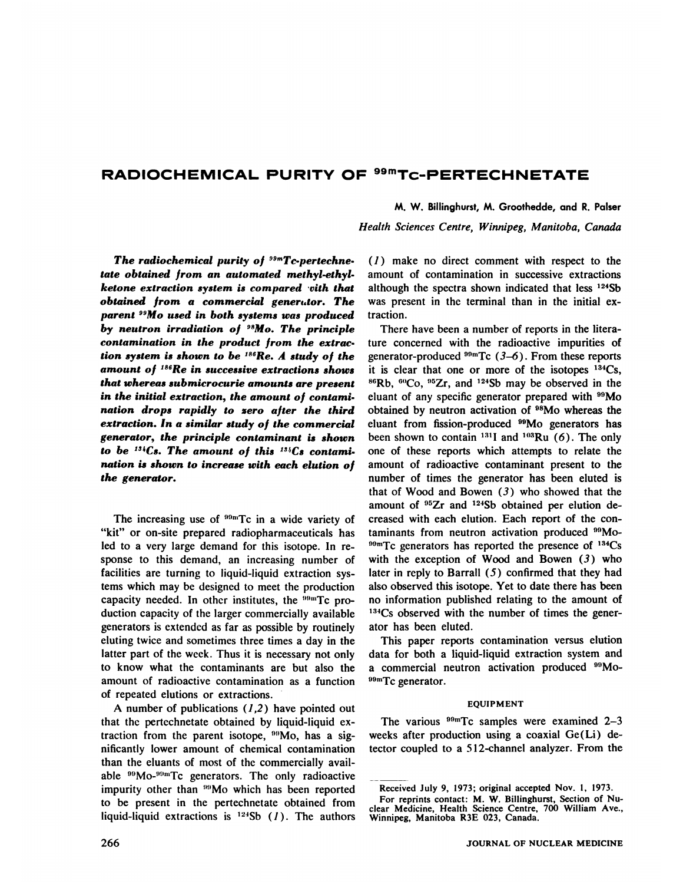# **RADIOCHEMICAL PURITY OF 99mTc—PERTECHNETATE**

M. W. Billinghurst, M. Groothedde, and R. Palser

*Health Sciences Centre, Winnipeg, Manitoba, Canada*

*The radiochemical purity of ssmT@pertechne. tate obtained from an automated methyl-ethyl ketone extraction system is compared -vith that <i>obtained from a commercial generator. The parent 99Mo used in both systems was produced* by neutron irradiation of  $98$ Mo. The principle *contamination in the product from the extrac tion system is shown to be 186Re. A study of the amount of 186Re in successive extractions shows in the initial extraction, the amount of contami nation drops rapidly to zero after the third extraction. In a similar study of the commercial generator, the principle contaminant is shown to be* <sup>134</sup>Cs. The amount of this <sup>134</sup>Cs contami*nation is shown to increase with each elution of the generator.*

The increasing use of  $99mTc$  in a wide variety of "kit" or on-site prepared radiopharmaceuticals has led to a very large demand for this isotope. In re sponse to this demand, an increasing number of facilities are turning to liquid-liquid extraction sys tems which may be designed to meet the production capacity needed. In other institutes, the  $199 \text{m}Tc$  production capacity of the larger commercially available generators is extended as far as possible by routinely eluting twice and sometimes three times a day in the latter part of the week. Thus it is necessary not only to know what the contaminants are but also the amount of radioactive contamination as a function of repeated elutions or extractions.

A number of publications  $(1,2)$  have pointed out that the pertechnetate obtained by liquid-liquid ex traction from the parent isotope,  $\rm{^{99}Mo}$ , has a significantly lower amount of chemical contamination than the eluants of most of the commercially avail able <sup>99</sup>Mo-<sup>99m</sup>Tc generators. The only radioactive impurity other than <sup>99</sup>Mo which has been reported to be present in the pertechnetate obtained from liquid-liquid extractions is  $124Sb$  (1). The authors

 $(1)$  make no direct comment with respect to the amount of contamination in successive extractions although the spectra shown indicated that less <sup>124</sup>Sb was present in the terminal than in the initial ex traction.

*that whereas submicrocurie amounts are present*  $^{86}$ Rb,  $^{60}$ Co,  $^{95}Z$ r, and <sup>124</sup>Sb may be observed in the There have been a number of reports in the litera ture concerned with the radioactive impurities of generator-produced  $^{99m}$ Tc (3–6). From these reports it is clear that one or more of the isotopes  $134Cs$ , eluant of any specific generator prepared with 99Mo obtained by neutron activation of 98Mo whereas the eluant from fission-produced <sup>99</sup>Mo generators has been shown to contain  $^{131}$ I and  $^{103}$ Ru (6). The only one of these reports which attempts to relate the amount of radioactive contaminant present to the number of times the generator has been eluted is that of Wood and Bowen (3) who showed that the amount of <sup>95</sup>Zr and <sup>124</sup>Sb obtained per elution decreased with each elution. Each report of the con taminants from neutron activation produced <sup>99</sup>Mo- $^{99m}$ Tc generators has reported the presence of  $^{134}Cs$ with the exception of Wood and Bowen  $(3)$  who later in reply to Barrall  $(5)$  confirmed that they had also observed this isotope. Yet to date there has been no information published relating to the amount of <sup>134</sup>Cs observed with the number of times the generator has been eluted.

> This paper reports contamination versus elution data for both a liquid-liquid extraction system and a commercial neutron activation produced <sup>99</sup>Mo-**OemTc generator.**

#### **EQUIPMENT**

The various  $^{99m}$ Tc samples were examined 2-3 weeks after production using a coaxial Ge(Li) de tector coupled to a 5 12-channel analyzer. From the

Received July 9, 1973; original accepted Nov. 1, 1973.

For reprints contact: M. W. Billinghurst, Section of Nu clear Medicine, Health Science Centre, 700 William Ave., Winnipeg, Manitoba R3E 023, Canada.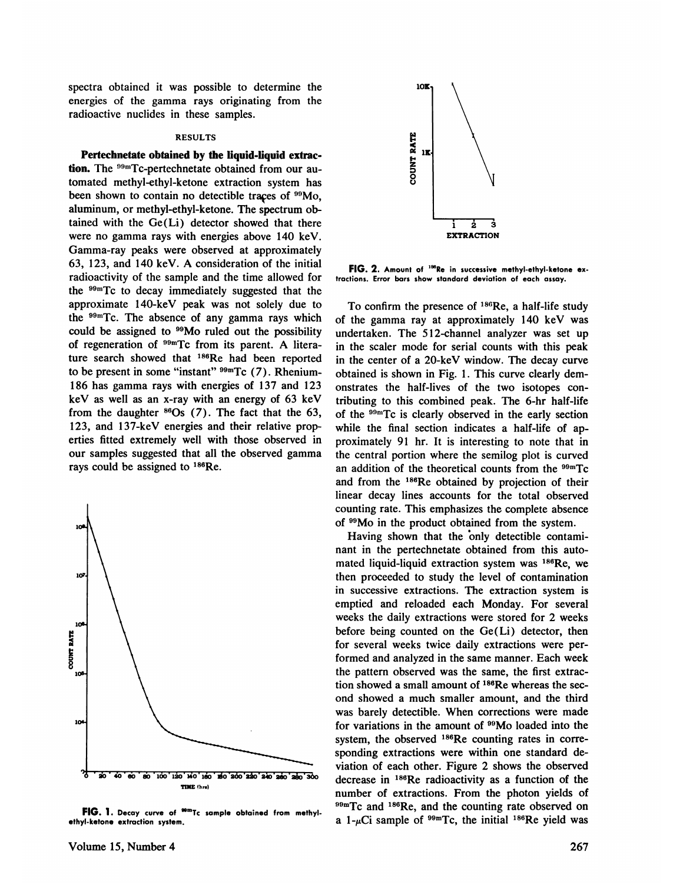spectra obtained it was possible to determine the energies of the gamma rays originating from the radioactive nuclides in these samples.

# RESULTS

**Pertechnetate obtained by the liquid-liquid extrac-**  $\mathbb{R}^{11}$ **lion. The °9@'Tc-pertechnetate obtained from our au** tomated methyl-ethyl-ketone extraction system has been shown to contain no detectible traces of <sup>99</sup>Mo, aluminum, or methyl-ethyl-ketone. The spectrum ob tamed with the Ge(Li) detector showed that there were no gamma rays with energies above 140 keV. Gamma-ray peaks were observed at approximately 63, 123, and 140 keV. A consideration of the initial radioactivity of the sample and the time allowed for the  $99mTc$  to decay immediately suggested that the approximate 140-keV peak was not solely due to the  $99m$ Tc. The absence of any gamma rays which could be assigned to <sup>99</sup>Mo ruled out the possibility of regeneration of  $99mTc$  from its parent. A literature search showed that 186Re had been reported to be present in some "instant"  $99mTc$  (7). Rhenium-186 has gamma rays with energies of 137 and 123 keV as well as an x-ray with an energy of 63 keV from the daughter  $860s$  (7). The fact that the 63, **123, and 1 37-keV energies and their relative prop** erties fitted extremely welt with those observed in our samples suggested that all the observed gamma rays could be assigned to  $186$ Re.



FIG. 1. Decay curve of <sup>som</sup>Tc sample obtained from methyl**ethyl-ketone extraction system.**



**FIG. 2. Amountof "Re insuccessivemethyl-ethyl-ketone cx tractions. Error bars show standard deviation of each assay.**

To confirm the presence of  $186$ Re, a half-life study of the gamma ray at approximately 140 keV was undertaken. The 512-channel analyzer was set up in the scaler mode for serial counts with this peak in the center of a 20-keV window. The decay curve obtained is shown in Fig. 1. This curve clearly dem onstrates the half-lives of the two isotopes con tributing to this combined peak. The 6-hr half-life of the  $99m$ Tc is clearly observed in the early section while the final section indicates a half-life of approximately 91 hr. It is interesting to note that in the central portion where the semilog plot is curved an addition of the theoretical counts from the  $99mTc$ and from the <sup>186</sup>Re obtained by projection of their linear decay lines accounts for the total observed counting rate. This emphasizes the complete absence of <sup>99</sup>Mo in the product obtained from the system.

Having shown that the only detectible contaminant in the pertechnetate obtained from this auto mated liquid-liquid extraction system was <sup>186</sup>Re, we then proceeded to study the level of contamination in successive extractions. The extraction system is emptied and reloaded each Monday. For several weeks the daily extractions were stored for 2 weeks before being counted on the Ge(Li) detector, then for several weeks twice daily extractions were per formed and analyzed in the same manner. Each week the pattern observed was the same, the first extrac tion showed a small amount of <sup>186</sup>Re whereas the second showed a much smaller amount, and the third was barely detectible. When corrections were made for variations in the amount of <sup>99</sup>Mo loaded into the system, the observed <sup>186</sup>Re counting rates in corresponding extractions were within one standard de viation of each other. Figure 2 shows the observed decrease in 186Re radioactivity as a function of the number of extractions. From the photon yields of  $^{99m}$ Tc and  $^{186}$ Re, and the counting rate observed on a 1- $\mu$ Ci sample of <sup>99m</sup>Tc, the initial <sup>186</sup>Re yield was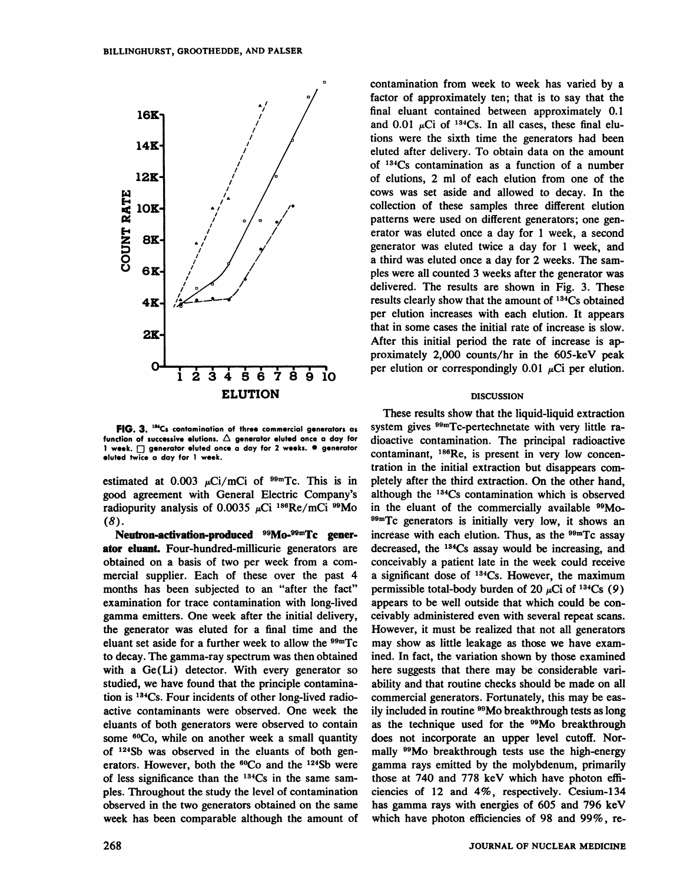

FIG. 3. <sup>134</sup>Cs contamination of three commercial generators as function of successive elutions.  $\triangle$  generator eluted once a day for **1 week. D generator eluted once a day for 2 weeks. •generator eluted twice a day for 1 week.**

estimated at  $0.003 \mu\text{Ci/mCi}$  of <sup>99m</sup>Tc. This is in good agreement with General Electric Company's radiopurity analysis of 0.0035  $\mu$ Ci <sup>186</sup>Re/mCi <sup>99</sup>Mo *(8).*

Neutron-activation-produced <sup>99</sup>Mo-<sup>99m</sup>Tc generator eluant. Four-hundred-millicurie generators are obtained on a basis of two per week from a com mercial supplier. Each of these over the past 4 months has been subjected to an "after the fact" examination for trace contamination with long-lived gamma emitters. One week after the initial delivery, the generator was eluted for a final time and the eluant set aside for a further week to allow the  $99mTc$ to decay. The gamma-ray spectrum was then obtained with a Ge(Li) detector. With every generator so studied, we have found that the principle contamina tion is <sup>134</sup>Cs. Four incidents of other long-lived radioactive contaminants were observed. One week the eluants of both generators were observed to contain some <sup>60</sup>Co, while on another week a small quantity of  $124Sb$  was observed in the eluants of both generators. However, both the <sup>60</sup>Co and the <sup>124</sup>Sb were of less significance than the  $134Cs$  in the same sampies. Throughout the study the level of contamination observed in the two generators obtained on the same week has been comparable although the amount of

**D contamination from week to week has varied by a** factor of approximately ten; that is to say that the final eluant contained between approximately 0.1 and 0.01  $\mu$ Ci of <sup>134</sup>Cs. In all cases, these final elutions were the sixth time the generators had been eluted after delivery. To obtain data on the amount of 134Cs contamination as a function of a number of elutions, 2 mlof each elution from one of the cows was set aside and allowed to decay. In the collection of these samples three different elution patterns were used on different generators; one gen erator was eluted once a day for 1 week, a second generator was eluted twice a day for 1 week, and a third was eluted once a day for 2 weeks. The sam ples were all counted 3 weeks after the generator was delivered. The results are shown in Fig. 3. These results clearly show that the amount of 134Cs obtained per elution increases with each elution. It appears that in some cases the initial rate of increase is slow. After this initial period the rate of increase is ap proximately 2,000 counts/hr in the 605-keV peak per elution or correspondingly 0.01  $\mu$ Ci per elution.

### DISCUSSION

These results show that the liquid-liquid extraction system gives  $99mTc$ -pertechnetate with very little radioactive contamination. The principal radioactive contaminant, <sup>186</sup>Re, is present in very low concentration in the initial extraction but disappears com pletely after the third extraction. On the other hand, although the 134Cs contamination which is observed in the eluant of the commercially available 99Mo <sup>99m</sup>Tc generators is initially very low, it shows an increase with each elution. Thus, as the  $99mTc$  assay decreased, the 134Cs assay would be increasing, and conceivably a patient late in the week could receive a significant dose of  $134Cs$ . However, the maximum permissible total-body burden of 20  $\mu$ Ci of <sup>134</sup>Cs (9) appears to be well outside that which could be con ceivably administered even with several repeat scans. However, it must be realized that not all generators may show as little leakage as those we have exam ined. In fact, the variation shown by those examined here suggests that there may be considerable van ability and that routine cheeks should be made on all commercial generators. Fortunately, this may be eas ily included in routine <sup>99</sup>Mo breakthrough tests as long as the technique used for the <sup>99</sup>Mo breakthrough does not incorporate an upper level cutoff. Nor mally <sup>99</sup>Mo breakthrough tests use the high-energy gamma rays emitted by the molybdenum, primarily those at 740 and 778 keV which have photon effi ciencies of 12 and 4%, respectively. Cesium-134 has gamma rays with energies of 605 and 796 keV which have photon efficiencies of 98 and 99% , re